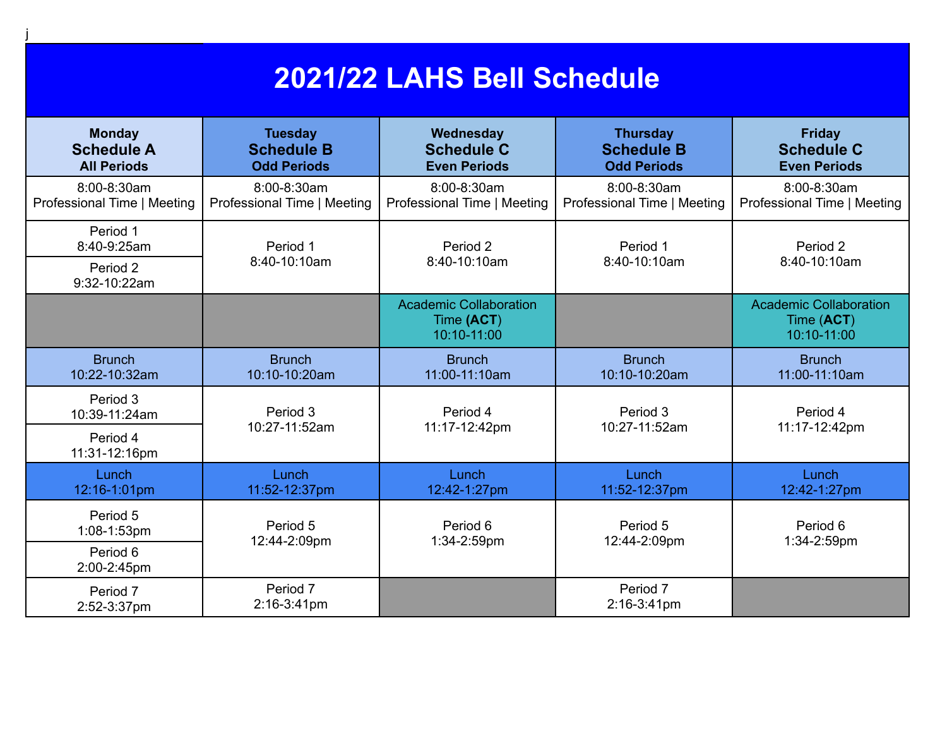## **2021/22 LAHS Bell Schedule**

j

| <b>Monday</b><br><b>Schedule A</b><br><b>All Periods</b> | <b>Tuesday</b><br><b>Schedule B</b><br><b>Odd Periods</b> | Wednesday<br><b>Schedule C</b><br><b>Even Periods</b>      | <b>Thursday</b><br><b>Schedule B</b><br><b>Odd Periods</b> | <b>Friday</b><br><b>Schedule C</b><br><b>Even Periods</b>  |
|----------------------------------------------------------|-----------------------------------------------------------|------------------------------------------------------------|------------------------------------------------------------|------------------------------------------------------------|
| 8:00-8:30am<br>Professional Time   Meeting               | 8:00-8:30am<br>Professional Time   Meeting                | 8:00-8:30am<br>Professional Time   Meeting                 | 8:00-8:30am<br>Professional Time   Meeting                 | 8:00-8:30am<br>Professional Time   Meeting                 |
| Period 1<br>8:40-9:25am<br>Period 2<br>9:32-10:22am      | Period 1<br>8:40-10:10am                                  | Period 2<br>8:40-10:10am                                   | Period 1<br>8:40-10:10am                                   | Period 2<br>8:40-10:10am                                   |
|                                                          |                                                           | <b>Academic Collaboration</b><br>Time (ACT)<br>10:10-11:00 |                                                            | <b>Academic Collaboration</b><br>Time (ACT)<br>10:10-11:00 |
| <b>Brunch</b><br>10:22-10:32am                           | <b>Brunch</b><br>10:10-10:20am                            | <b>Brunch</b><br>11:00-11:10am                             | <b>Brunch</b><br>10:10-10:20am                             | <b>Brunch</b><br>11:00-11:10am                             |
| Period 3<br>10:39-11:24am<br>Period 4                    | Period 3<br>10:27-11:52am                                 | Period 4<br>11:17-12:42pm                                  | Period 3<br>10:27-11:52am                                  | Period 4<br>11:17-12:42pm                                  |
| 11:31-12:16pm<br>Lunch<br>12:16-1:01pm                   | Lunch<br>11:52-12:37pm                                    | Lunch<br>12:42-1:27pm                                      | Lunch<br>11:52-12:37pm                                     | Lunch<br>12:42-1:27pm                                      |
| Period 5<br>1:08-1:53pm<br>Period 6<br>2:00-2:45pm       | Period 5<br>12:44-2:09pm                                  | Period 6<br>1:34-2:59pm                                    | Period 5<br>12:44-2:09pm                                   | Period 6<br>1:34-2:59pm                                    |
| Period 7<br>2:52-3:37pm                                  | Period 7<br>2:16-3:41pm                                   |                                                            | Period 7<br>2:16-3:41pm                                    |                                                            |